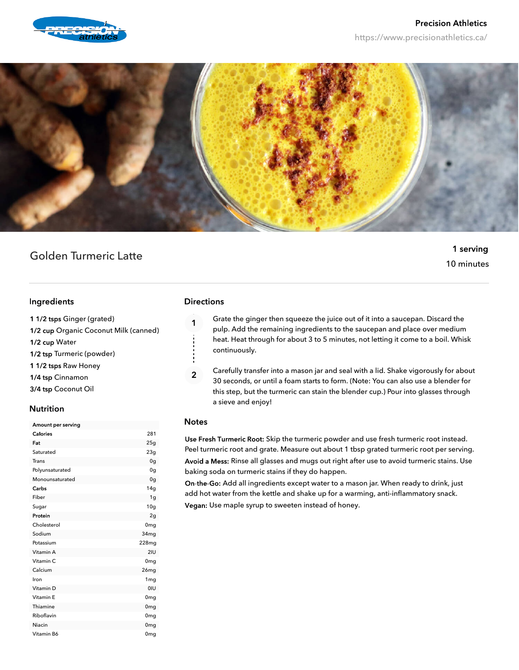



# Golden Turmeric Latte

## 1 serving 10 minutes

## Ingredients

1 1/2 tsps Ginger (grated)

1/2 cup Organic Coconut Milk (canned)

1/2 cup Water

1/2 tsp Turmeric (powder)

1 1/2 tsps Raw Honey

1/4 tsp Cinnamon

3/4 tsp Coconut Oil

## **Nutrition**

| Amount per serving   |                  |
|----------------------|------------------|
| <b>Calories</b>      | 281              |
| Fat                  | 25g              |
| Saturated            | 23g              |
| Trans                | 0 <sub>g</sub>   |
| Polyunsaturated      | 0g               |
| Monounsaturated      | 0g               |
| Carps                | 14g              |
| Fiber                | 1 <sub>g</sub>   |
| Sugar                | 10 <sub>g</sub>  |
| Protein              | 2g               |
| Cholesterol          | 0mg              |
| Sodium               | 34 <sub>mq</sub> |
| Potassium            | 228mg            |
| Vitamin A            | 2IU              |
| Vitamin <sub>C</sub> | 0 <sub>mg</sub>  |
| Calcium              | 26mg             |
| Iron                 | 1 <sub>mg</sub>  |
| Vitamin D            | 0IU              |
| Vitamin E            | 0 <sub>mg</sub>  |
| Thiamine             | 0 <sub>mg</sub>  |
| Riboflavin           | 0 <sub>mg</sub>  |
| Niacin               | 0 <sub>mg</sub>  |
| Vitamin B6           | 0 <sub>mg</sub>  |

## **Directions**

 $\mathbf{1}$ 

 $\overline{2}$ 

Grate the ginger then squeeze the juice out of it into a saucepan. Discard the pulp. Add the remaining ingredients to the saucepan and place over medium heat. Heat through for about 3 to 5 minutes, not letting it come to a boil. Whisk continuously.

Carefully transfer into a mason jar and seal with a lid. Shake vigorously for about 30 seconds, or until a foam starts to form. (Note: You can also use a blender for this step, but the turmeric can stain the blender cup.) Pour into glasses through a sieve and enjoy!

## **Notes**

Use Fresh Turmeric Root: Skip the turmeric powder and use fresh turmeric root instead. Peel turmeric root and grate. Measure out about 1 tbsp grated turmeric root per serving. Avoid a Mess: Rinse all glasses and mugs out right after use to avoid turmeric stains. Use baking soda on turmeric stains if they do happen.

On-the-Go: Add all ingredients except water to a mason jar. When ready to drink, just add hot water from the kettle and shake up for a warming, anti-inflammatory snack. Vegan: Use maple syrup to sweeten instead of honey.